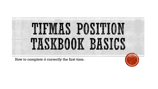

How to complete it correctly the first time.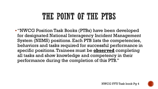# THE POINT OF THE PTBS

"NWCG Position Task Books (PTBs) have been developed for designated National Interagency Incident Management System (NIIMS) positions. Each PTB lists the competencies, behaviors and tasks required for successful performance in specific positions. Trainees must be **observed** completing all tasks and show knowledge and competency in their performance during the completion of this PTB."

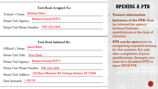#### **Task Book Assigned To:**

Trainee's Name: Katlene Ginn

Home Unit/Agency: Brazos County PCT 3

Home Unit Phone Number: 979-123-1234

#### **Task Book Initiated By:**

Official's Name: Jason Ware

Fire Chief

Home Unit/Agency: Brazos County PCT 3

Home Unit Phone Number: 979-123-1234

Home Unit Address: 123 Elmo Weedon Rd College Station, TX 77845

<u> 1980 - Johann Stoff, deutscher Stoff, der Stoff, der Stoff, der Stoff, der Stoff, der Stoff, der Stoff, der S</u>

Date Initiated: 1/20/18

## **OPENING A PTB**

#### • **Trainee information**

• **Initiation of the PTB:** Must be initiated by agency holding Trainees qualifications at the time of initiation

• **PTB can be open** prior to completing required training for that position, But only after completion of prior qualifications. Example: you must be a Qualified FFTI to open ENGB PTB.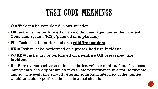# TASK CODE MEANINGS

- **O =** Task can be completed in any situation
- **I =** Task must be performed on an incident managed under the Incident Command System (ICS). (planned or unplanned)
- **W =** Task must be performed on a **wildfire incident**.
- **RX =** Task must be performed on a **prescribed fire incident**.
- **W/RX =** Task must be performed on a **wildfire OR prescribed fire incident**.
- **R =** Rare events such as accidents, injuries, vehicle or aircraft crashes occur infrequently and opportunities to evaluate performance in a real setting are limited. The evaluator should determine, through interview, if the trainee would be able to perform the task in a real situation.

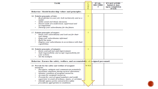| <b>TASK</b>                                                                                                                                                                                                                                                                                                                                                                                                                                                  | с<br>$\mathbf{o}$<br>$\mathbf{D}$<br>E | EVAL.<br><b>RECORD</b><br># | <b>EVALUATOR:</b><br>Initial & date<br>upon completion<br>of task |
|--------------------------------------------------------------------------------------------------------------------------------------------------------------------------------------------------------------------------------------------------------------------------------------------------------------------------------------------------------------------------------------------------------------------------------------------------------------|----------------------------------------|-----------------------------|-------------------------------------------------------------------|
| Behavior: Model leadership values and principles.                                                                                                                                                                                                                                                                                                                                                                                                            |                                        |                             |                                                                   |
| 16. Exhibit principles of duty.<br>Be proficient in your job, both technically and as a<br>leader.<br>Make sound and timely decisions.<br>Ensure tasks are understood, supervised and<br>accomplished.<br>Develop your subordinates for the future.                                                                                                                                                                                                          | T                                      |                             |                                                                   |
| 17. Exhibit principles of respect.<br>Know your subordinates and look out for their<br>well-being.<br>Keep your subordinates informed.<br>Build the team.<br>Employ your subordinates in accordance with their<br>capabilities.                                                                                                                                                                                                                              | I                                      |                             |                                                                   |
| 18. Exhibit principles of integrity.<br>Know yourself and seek improvement.<br>Seek responsibility and accept responsibility for<br>۰<br>vour actions.<br>Set the example.                                                                                                                                                                                                                                                                                   | I                                      |                             |                                                                   |
| Behavior: Ensure the safety, welfare, and accountability of assigned personnel.                                                                                                                                                                                                                                                                                                                                                                              |                                        |                             |                                                                   |
| 19. Provide for the safety and welfare of assigned<br><b>resources</b><br>Recognize, mitigate and communicate potentially<br>hazardous situations during tactical operations.<br>Monitor condition of assigned resources.<br>Account for assigned resources.<br>Provide for care of squad members and notify<br>supervisor in event of sickness, injury, or accident.<br>Identify agency policy and practice safety<br>procedures appropriate to conditions. | W/RX                                   |                             |                                                                   |

╲

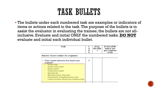# TASK BULLETS

 The bullets under each numbered task are examples or indicators of items or actions related to the task. The purpose of the bullets is to assist the evaluator in evaluating the trainee; the bullets are not allinclusive. Evaluate and initial ONLY the numbered tasks. **DO NOT** evaluate and initial each individual bullet.

| TASK                                                                                                                                                                                                                                                                                                                       | C<br>o<br>D<br>E | EVAL.<br><b>RECORD</b><br># | <b>EVALUATOR:</b><br>Initial & date<br>upon completion<br>of task |
|----------------------------------------------------------------------------------------------------------------------------------------------------------------------------------------------------------------------------------------------------------------------------------------------------------------------------|------------------|-----------------------------|-------------------------------------------------------------------|
| Behavior: Ensure readiness for assignment.                                                                                                                                                                                                                                                                                 |                  |                             |                                                                   |
| Obtain complete information from dispatch upon<br>1.<br>assignment.<br>Incident name<br>Incident order number<br>Request number<br>Incident phone mumber<br>٠<br>Reporting time<br>Reporting location (drop point)<br>٠<br>Transportation arrangements/travel routes<br>Contact procedures during travel (telephone/radio) | O                |                             |                                                                   |

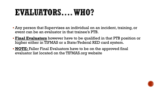# EVALUATORS... WHO?

- Any person that Supervises an individual on an incident, training, or event can be an evaluator in that trainee's PTB.
- **Final Evaluators** however have to be qualified in that PTB position or higher either in TIFMAS or a State/Federal RED card system.
- **NOTE:** Faller Final Evaluators have to be on the approved final evaluator list located on the TIFMAS.org website

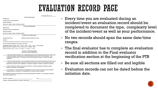# EVALUATION RECORD PAGE

|                                                        | <b>Evaluation Record #</b>                                                                                                                                                                                                                                                                                                                      |                  |
|--------------------------------------------------------|-------------------------------------------------------------------------------------------------------------------------------------------------------------------------------------------------------------------------------------------------------------------------------------------------------------------------------------------------|------------------|
|                                                        | <b>Trainee Information</b>                                                                                                                                                                                                                                                                                                                      |                  |
| Printed Name:                                          |                                                                                                                                                                                                                                                                                                                                                 | Eve:             |
| Trainee Position on Incident/Event:                    |                                                                                                                                                                                                                                                                                                                                                 |                  |
| Home Unit/Agency:                                      |                                                                                                                                                                                                                                                                                                                                                 | inci             |
| Home Unit /Agency Address and Phone Number:            |                                                                                                                                                                                                                                                                                                                                                 |                  |
| <b>Printed Name:</b>                                   | <b>Evaluator Information</b>                                                                                                                                                                                                                                                                                                                    | com              |
| <b>Evaluator Position on Incident/Event:</b>           |                                                                                                                                                                                                                                                                                                                                                 |                  |
| Home Unit/Agency:                                      |                                                                                                                                                                                                                                                                                                                                                 | of th            |
| Home Unit /Agency Address and Phone Number:            |                                                                                                                                                                                                                                                                                                                                                 |                  |
|                                                        | <b>Incident/Event Information</b>                                                                                                                                                                                                                                                                                                               |                  |
| Incident/Event Name:                                   | Reference (Incident Number/Fire Code):                                                                                                                                                                                                                                                                                                          | No t             |
| Duration:                                              |                                                                                                                                                                                                                                                                                                                                                 |                  |
|                                                        | Incident Kind: Wildfire, Prescribed Fire, All Hazard, Other (specify):                                                                                                                                                                                                                                                                          | ranc             |
| Location (include Geographic Area, Agency, and State): |                                                                                                                                                                                                                                                                                                                                                 |                  |
|                                                        | Management Type (circle one): Type 5, Type 4, Type 3, Type 2, Type 1, Area Command<br>OR Prescribed Fire Complexity Level (circle one): Low, Moderate, High                                                                                                                                                                                     |                  |
|                                                        | FBPS Fuel Model Letter: G = Grass, B = Brush, T = Timber, S = Slash                                                                                                                                                                                                                                                                             | The              |
|                                                        | <b>Evaluator's Recommendation</b><br>(Initial only one line as appropriate)                                                                                                                                                                                                                                                                     | recc             |
| certification.                                         | 1) The tasks initialed and dated by me on the Qualification Record have been performed under my supervision in<br>a satisfactory manner. The trainee has successfully performed all tasks in the PTB for the position. I have<br>completed the Final Evaluator's Verification section and recommend the trainee be considered for agency        | ver <sub>1</sub> |
|                                                        | 2) The tasks initialed and dated by me on the Qualification Record have been performed under my supervision in<br>a satisfactory manner. However, opportunities were not available for all tasks (or all uncompleted tasks) to be<br>performed and evaluated on this assignment. An additional assignment is needed to complete the evaluation. | Be s             |
| guidance, or experience is recommended.                | 3) The trainee did not complete certain tasks in the PTB in a satisfactory manner and additional training,                                                                                                                                                                                                                                      |                  |
|                                                        | 4) The individual is severely deficient in the performance of tasks in the PTB for the position and additional<br>training, guidance, or experience is recommended prior to another training assignment.                                                                                                                                        | <b>Eval</b>      |
| sheet to the evaluation record.                        | Record additional remarks/recommendations on an Individual Performance Evaluation, or by attaching an additional                                                                                                                                                                                                                                | ıniti            |
|                                                        |                                                                                                                                                                                                                                                                                                                                                 |                  |

Date:

Evaluator's Signature:

Evaluator's Relevant Qualification (or agency certification):

- ry time you are evaluated during an dent/event an evaluation record should be pleted to document the type, complexity level ne incident/event as well as your performance.
- :wo records should span the same date/time  $\mathop{\text{res}}\nolimits.$
- final evaluator has to complete an evaluation  $\mathop{\rm ord}\nolimits$  in addition to the Final evaluator fication section at the beginning of the PTB
- $\,$ ure all sections are filled out and legible  $\,$
- luation records can not be dated before the ation date.

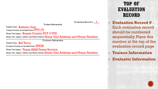Evaluation Record  $\#$  1

**Trainee Information** 

Printed Name: Katlene Ginn

Trainee Position on Incident/Event: FFTI (T)

Home Unit/Agency: Brazos County PCT 3 VFD

Home Unit / Agency Address and Phone Number: Home Unit Address and Phone Number

**Evaluator Information** 

Printed Name: Bill Terry Evaluator Position on Incident/Event: ENGB

Home Unit/Agency: Texas A&M Forest Service

Home Unit /Agency Address and Phone Number: Home Unit Address and Phone Number

TOP OF EVALUATION **RECORD** 

• **Evaluation Record #** - Each evaluation record should be numbered sequentially. Place this number at the top of the evaluation record page

- **Trainee Information**
- **Evaluator Information**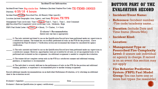#### **Incident/Event Information**

Incident/Event Name: Big circle fire Reference (Incident Number/Fire Code): TX-TXMS-180023 4/25/18 4 hours

Incident Kind Wildfire, Prescribed Fire, All Hazard, Other (specify):

Location (include Geographic Area, Agency, and State):  $\operatorname{Bryan}, \operatorname{TX} \operatorname{TFS}$ 

Management Type (circle one): Type 5, Type 4) Type 3, Type 2, Type 1, Area Command OR Prescribed Fire Complexity Level (circle one): Low, Moderate, High

FBPS Fuel Model Letter:  $G =$  Grass,  $B =$  Brush,  $T =$  Timber,  $S =$  Slash

**Evaluator's Recommendation** (Initial only one line as appropriate)

1) The tasks initialed and dated by me on the Qualification Record have been performed under my supervision in a satisfactory manner. The trainee has successfully performed all tasks in the PTB for the position. I have completed the Final Evaluator's Verification section and recommend the trainee be considered for agency certification

2) The tasks initialed and dated by me on the Qualification Record have been performed under my supervision in a satisfactory manner. However, opportunities were not available for all tasks (or all uncompleted tasks) to be performed and evaluated on this assignment. An additional assignment is needed to complete the evaluation.

3) The trainee did not complete certain tasks in the PTB in a satisfactory manner and additional training, guidance, or experience is recommended.

4) The individual is severely deficient in the performance of tasks in the PTB for the position and additional training, guidance, or experience is recommended prior to another training assignment.

Record additional remarks/recommendations on an Individual Performance Evaluation, or by attaching an additional sheet to the evaluation record.

**Evaluator's Signature:** 

Date: The contract of the contract of the contract of the contract of the contract of the contract of the contract of the contract of the contract of the contract of the contract of the contract of the contract of the cont

Evaluator's Relevant Oualification (or agency certification):

## **BOTTOM PART OF THE EVALUATION RECORD**

• **Incident/Event Name:** 

- **Reference:** Incident number /Fire code/academy name…
- **Duration:** Include Date and Time frame (Hours/Min)
- **Incident Kind:**

#### • **Location:**

- **Management Type or Prescribed Fire Complexity Level:** If unsure ask individual or agency in charge. If record is on an event this section may not apply
- **Fire Behavior Prediction System (FBPS) Fuel Model Group:** You can have one or more fuel types (be resalable)

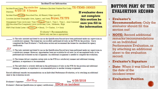#### **Incident/Event Information**

Incident/Event Name: Big circle fire Reference (Incident Number/Fire Code): TX-TXMS-180023 Duration:  $4/25/18$  4 hours Incident Kind Wildfire, Prescribed Fire, All Hazard, Other (specify): Location (include Geographic Area, Agency, and State):  $Bryan, TX TFS$ Management Type (circle one): Type 5, Type 4) Type 3, Type 2, Type 1, Area Command OR Prescribed Fire Complexity Level (circle one): Low, Moderate, High FBPS Fuel Model Letter:  $G =$  Grass.  $B =$  Brush, T = Timber, S = Slash

> **Evaluator's Recommendation** (Initial only one line as appropriate)

1) The tasks initialed and dated by me on the Qualification Record have been performed under my supervision in a satisfactory manner. The trainee has successfully performed all tasks in the PTB for the position. I have completed the Final Evaluator's Verification section and recommend the trainee be considered for agency certification.

 $\mathcal{F}$ 

2) The tasks initialed and dated by me on the Qualification Record have been performed under my supervision in a satisfactory manner. However, opportunities were not available for all tasks (or all uncompleted tasks) to be performed and evaluated on this assignment. An additional assignment is needed to complete the evaluation.

3) The trainee did not complete certain tasks in the PTB in a satisfactory manner and additional training, guidance, or experience is recommended.

4) The individual is severely deficient in the performance of tasks in the PTB for the position and additional training, guidance, or experience is recommended prior to another training assignment.

Record additional remarks/recommendations on an Individual Performance Evaluation, or by attaching an additional sheet to the evaluation record.

 $\mathcal{B}_{ii}$  Terry  $\frac{1}{26}$  and  $\frac{1}{26}$  and  $\frac{1}{26}$  and  $\frac{1}{26}$  and  $\frac{1}{26}$  and  $\frac{1}{26}$  and  $\frac{1}{26}$  and  $\frac{1}{26}$  and  $\frac{1}{26}$  and  $\frac{1}{26}$  and  $\frac{1}{26}$  and  $\frac{1}{26}$  and  $\frac{1}{26}$  and  $\frac{1}{26}$ **Evaluator's Signature:** 

Evaluator's Relevant Qualification (or agency certification): ENGB on incident

**If evaluator does not complete this section be sure you fill in the information**

### **BOTTOM PART OF THE EVALUATION RECORD**

• **Evaluator's Recommendation:** Only the evaluator should fill this section out!

• **NOTE:** Record additional remarks/recommendations on an Individual Performance Evaluation, or by attaching an additional sheet to the evaluation record.

• **Evaluator's Signature** 

- **Date-** When it was filled not the date of the incident/event
- **Evaluators Position**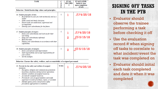| TASK | EVAL.         | <b>EVALUATOR:</b> |
|------|---------------|-------------------|
|      | <b>RECORD</b> | Initial & date    |
|      |               | upon completion   |
|      |               | of task           |

Behavior: Model leadership values and principles.

| 16. Exhibit principles of duty.<br>Be proficient in your job, both technically and as a<br>leader<br>Make sound and timely decisions.<br>Ensure tasks are understood, supervised and<br>accomplished.<br>Develop your subordinates for the future. | I    |                | $\mathcal{L}$ 74/25/18             |
|----------------------------------------------------------------------------------------------------------------------------------------------------------------------------------------------------------------------------------------------------|------|----------------|------------------------------------|
| 17. Exhibit principles of respect.<br>Know your subordinates and look out for their<br>well-being.<br>Keep your subordinates informed.<br>Build the team<br>Employ your subordinates in accordance with their<br>capabilities.                     | I    | $\overline{2}$ | 574/25/18<br>$\sqrt[4]{D}$ 5/15/18 |
| 18. Exhibit principles of integrity.<br>Know yourself and seek improvement.<br>Seek responsibility and accept responsibility for<br>your actions.<br>Set the example.                                                                              | T    | $\overline{2}$ | $\sqrt{D}$ 5/15/18                 |
| Behavior: Ensure the safety, welfare, and accountability of assigned personnel.                                                                                                                                                                    |      |                |                                    |
| 19. Provide for the safety and welfare of assigned<br>resources.                                                                                                                                                                                   | W/RX |                | 574/25/18                          |

| 19. Provide for the safety and welfare of assigned<br>resources<br>Recognize, mitigate and communicate potentially<br>hazardous situations during tactical operations.<br>• Monitor condition of assigned resources.<br>Account for assigned resources.<br>Provide for care of squad members and notify<br>۰. | W/RX | $\frac{574}{25}/18$ |
|---------------------------------------------------------------------------------------------------------------------------------------------------------------------------------------------------------------------------------------------------------------------------------------------------------------|------|---------------------|
| supervisor in event of sickness, injury, or accident.<br>Identify agency policy and practice safety<br>procedures appropriate to conditions.                                                                                                                                                                  |      |                     |

SIGNING OFF TASKS IN THE PTB

• Evaluator should observe the trainee performing a task before checking it off

• Use the evaluation record # when signing off tasks to correlate to what incident/event the task was completed on

• Evaluator should initial each task completed and date it when it was completed

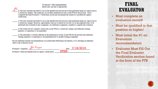#### **Evaluator's Recommendation** (Initial only one line as appropriate)

JC 1) The tasks initialed and dated by me on the Qualification Record have been performed under my supervision in a satisfactory manner. The trainee has successfully performed all tasks in the PTB for the position. I have completed the Final Evaluator's Verification section and recommend the trainee be considered for agency certification.

- 2) The tasks initialed and dated by me on the Qualification Record have been performed under my supervision in a satisfactory manner. However, opportunities were not available for all tasks (or all uncompleted tasks) to be performed and evaluated on this assignment. An additional assignment is needed to complete the evaluation.
- 3) The trainee did not complete certain tasks in the PTB in a satisfactory manner and additional training, guidance, or experience is recommended.
- 4) The individual is severely deficient in the performance of tasks in the PTB for the position and additional training, guidance, or experience is recommended prior to another training assignment.

Record additional remarks/recommendations on an Individual Performance Evaluation, or by attaching an additional sheet to the evaluation record.

 $\int_{2\pi}$   $\int_{2\pi}$   $\sqrt{18/2019}$ **Evaluator's Signature** STENEvaluator's Relevant Qualification (or agency certification):

## **FINAL EVALUATOR**

- Must complete an evaluation record!
- Must be qualified in that position or higher!
- Must initial the #1 on Evaluators recommendation
- Evaluator Must Fill Out the Final Evaluator Verification section found at the front of the PTB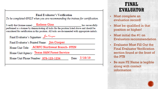#### **Final Evaluator's Verification**

To be completed ONLY when you are recommending the trainee for certification.

I verify that (trainee name) Katlene Ginn has successfully performed as a trainee by demonstrating all tasks for the position listed above and should be considered for certification in this position. All tasks are documented with appropriate initials.

Final Evaluator's Signature: Lim Cooper

Final Evaluator's Printed Name: Jim Cooper

Home Unit Title: ACRFC Northwest Branch- STEN

Home Unit/Agency: Texas A&M Forest Service

Home Unit Phone Number: 979-123-1234 Date: 7/18/19

## **FINAL EVALUATOR**

- Must complete an evaluation record!
- Must be qualified in that position or higher!
- Must initial the #1 on Evaluators recommendation
- Evaluator Must Fill Out the Final Evaluator Verification section found at the front of the PTB
- Be sure FE Name is legible along with contact information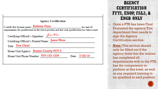#### **Agency Certification**

I certify that (trainee name) Katlene Ginn has met all requirements for qualification in the above position and that such qualification has been issued.

| Certifying Official's Signature: Lason Ware    |               |
|------------------------------------------------|---------------|
| Certifying Official's Printed Name: Jason Ware |               |
| Title: Fire Chief                              |               |
| Home Unit/Agency: Brazos County PCT 3          |               |
| Home Unit Phone Number: 979-123-1234           | Date: 7/25/19 |

### **AGENCY CERTIFICATION** FFTI, ENOP, FAL3, & **ENGB ONLY**

- Once a PTB has been Final Evaluated the agency/Fire department then needs to sign the Agency Certification section.
- **Note:** This section should only be filled out if the agency feels that the trainee has completed all requirements with in the PTB, has the competency to perform at this level, as well as any required training to be qualified in said position.

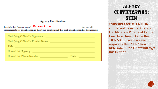#### **Agency Certification**

I certify that (trainee name) Katlene Ginn has met all requirements for qualification in the above position and that such qualification has been issued.

| Certifying Official's Signature:    |       |
|-------------------------------------|-------|
| Certifying Official's Printed Name: |       |
| Title:                              |       |
| Home Unit/Agency:                   |       |
| Home Unit Phone Number:             | Date: |
|                                     |       |

## **AGENCY CERTIFICATION: STEN**

**IMPORTANT:** STEN PTBs should not have the Agency Certification Filled out by the Fire department. Once the TIFMAS RPL reviews and approves the STEN Then the RPL Committee Chair will sign this Section.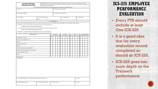| <b>INCIDENT PERSONNEL</b><br><b>PERFORMANCE RATING</b>                                                                                                                                                                                                                                                                                                                                                                                                                                                                                                                         |       | INSTRUCTIONS: The immediate job supervisor will prepare this form for each subordinate. It will be<br>delivered to the planning section before the rater leaves the fire. Rating will be reviewed with employee<br>who will sign at the bottom. |   |                      |                         |   |   |                               |   |   |   |   |                |          |                 |   |                |   |
|--------------------------------------------------------------------------------------------------------------------------------------------------------------------------------------------------------------------------------------------------------------------------------------------------------------------------------------------------------------------------------------------------------------------------------------------------------------------------------------------------------------------------------------------------------------------------------|-------|-------------------------------------------------------------------------------------------------------------------------------------------------------------------------------------------------------------------------------------------------|---|----------------------|-------------------------|---|---|-------------------------------|---|---|---|---|----------------|----------|-----------------|---|----------------|---|
|                                                                                                                                                                                                                                                                                                                                                                                                                                                                                                                                                                                |       | THIS RATING IS TO BE USED ONLY FOR DETERMINING AN INDIVIDUAL'S PERFORMANCE                                                                                                                                                                      |   |                      |                         |   |   |                               |   |   |   |   |                |          |                 |   |                |   |
| 1. Name<br>2. Fire Name and Number                                                                                                                                                                                                                                                                                                                                                                                                                                                                                                                                             |       |                                                                                                                                                                                                                                                 |   |                      |                         |   |   |                               |   |   |   |   |                |          |                 |   |                |   |
| 3. Home Unit (address)                                                                                                                                                                                                                                                                                                                                                                                                                                                                                                                                                         |       |                                                                                                                                                                                                                                                 |   |                      |                         |   |   | 4. Location of Fire (address) |   |   |   |   |                |          |                 |   |                |   |
| 5. Fire Position                                                                                                                                                                                                                                                                                                                                                                                                                                                                                                                                                               |       | 6. Date of Assignment                                                                                                                                                                                                                           |   |                      |                         |   |   | 7. Acres Burned               |   |   |   |   |                |          | 8. Fuel Type(s) |   |                |   |
|                                                                                                                                                                                                                                                                                                                                                                                                                                                                                                                                                                                | From: | To:                                                                                                                                                                                                                                             |   |                      |                         |   |   |                               |   |   |   |   |                |          |                 |   |                |   |
|                                                                                                                                                                                                                                                                                                                                                                                                                                                                                                                                                                                |       |                                                                                                                                                                                                                                                 |   | 9. Evaluation        |                         |   |   |                               |   |   |   |   |                |          |                 |   |                |   |
| Enter X under appropriate rating number and under proper heading for each category listed. Definition for each rating number follows:<br>0 - Deficient. Does not meet minimum requirements of the individual element.<br>DERCIENCIES MUST BE IDENTIFIED IN REMARKS.<br>1 - Needs to improve. Meets some or most of the requirements of the individual element.<br><b>IDENTIFY IMPROVEMENT NEEDED IN REMARKS.</b><br>2 - Satisfactory. Employee meets all requirements of the individual element.<br>3. - Superior. Employee consistently exceeds the performance requirements. |       |                                                                                                                                                                                                                                                 |   |                      |                         |   |   |                               |   |   |   |   |                |          |                 |   |                |   |
| <b>Rating Factors</b>                                                                                                                                                                                                                                                                                                                                                                                                                                                                                                                                                          |       |                                                                                                                                                                                                                                                 |   | <b>Hot Line</b>      |                         |   |   | Mop-Up                        |   |   |   |   | Camp           |          |                 |   | Other specify) |   |
|                                                                                                                                                                                                                                                                                                                                                                                                                                                                                                                                                                                |       |                                                                                                                                                                                                                                                 | ٥ | ٠                    | $\overline{\mathbf{2}}$ | 3 | ٥ |                               | 2 | 3 | ٥ | ۱ | $\overline{2}$ | 3        | o               | т | $\overline{2}$ | 3 |
| Knowledge of the job                                                                                                                                                                                                                                                                                                                                                                                                                                                                                                                                                           |       |                                                                                                                                                                                                                                                 |   |                      |                         |   |   |                               |   |   |   |   |                |          |                 |   |                |   |
| Ability to obtain performance                                                                                                                                                                                                                                                                                                                                                                                                                                                                                                                                                  |       |                                                                                                                                                                                                                                                 |   |                      |                         |   |   |                               |   |   |   |   |                |          |                 |   |                |   |
| Attitude                                                                                                                                                                                                                                                                                                                                                                                                                                                                                                                                                                       |       |                                                                                                                                                                                                                                                 |   |                      |                         |   |   |                               |   |   |   |   |                |          |                 |   |                |   |
| Decisions under stress                                                                                                                                                                                                                                                                                                                                                                                                                                                                                                                                                         |       |                                                                                                                                                                                                                                                 |   |                      |                         |   |   |                               |   |   |   |   |                |          |                 |   |                |   |
| Initiative                                                                                                                                                                                                                                                                                                                                                                                                                                                                                                                                                                     |       |                                                                                                                                                                                                                                                 |   |                      |                         |   |   |                               |   |   |   |   |                |          |                 |   |                |   |
| Consideration for personnel welfare                                                                                                                                                                                                                                                                                                                                                                                                                                                                                                                                            |       |                                                                                                                                                                                                                                                 |   |                      |                         |   |   |                               |   |   |   |   |                |          |                 |   |                |   |
| Obtain necessary equipment and supplies                                                                                                                                                                                                                                                                                                                                                                                                                                                                                                                                        |       |                                                                                                                                                                                                                                                 |   |                      |                         |   |   |                               |   |   |   |   |                |          |                 |   |                |   |
| Physical ability for the job                                                                                                                                                                                                                                                                                                                                                                                                                                                                                                                                                   |       |                                                                                                                                                                                                                                                 |   |                      |                         |   |   |                               |   |   |   |   |                |          |                 |   |                |   |
| Safety                                                                                                                                                                                                                                                                                                                                                                                                                                                                                                                                                                         |       |                                                                                                                                                                                                                                                 |   |                      |                         |   |   |                               |   |   |   |   |                |          |                 |   |                |   |
| Other (specify)                                                                                                                                                                                                                                                                                                                                                                                                                                                                                                                                                                |       |                                                                                                                                                                                                                                                 |   |                      |                         |   |   |                               |   |   |   |   |                |          |                 |   |                |   |
| 10. Remarks                                                                                                                                                                                                                                                                                                                                                                                                                                                                                                                                                                    |       |                                                                                                                                                                                                                                                 |   |                      |                         |   |   |                               |   |   |   |   |                |          |                 |   |                |   |
| 11. Employee (signature) This rating has been discussed with me                                                                                                                                                                                                                                                                                                                                                                                                                                                                                                                |       |                                                                                                                                                                                                                                                 |   |                      |                         |   |   |                               |   |   |   |   |                | 12. Date |                 |   |                |   |
| 13. Rated By (signature)                                                                                                                                                                                                                                                                                                                                                                                                                                                                                                                                                       |       | 14. Home Unit (address)                                                                                                                                                                                                                         |   | 15. Position of Fire |                         |   |   |                               |   |   |   |   | 16. Date       |          |                 |   |                |   |

## **ICS-225 EMPLOYEE PERFORMANCE EVALUATION**

- Every PTB should include at least One ICS-225
- It is a good idea that for every evaluation record completed so should an ICS 225.
- ICS-225 goes into more depth on the Trainee's performance.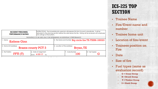#### **INCIDENT PERSONNEL PERFORMANCE RATING**

INSTRUCTIONS: The immediate job supervisor will prepare this form for each subordinate. It will be delivered to the planning section before the rater leaves the fire. Rating will be reviewed with employee who will sign at the bottom.

THIS RATING IS TO BE USED ONLY FOR DETERMINING AN INDIVIDUAL'S PERFORMANCE

| 1. Name<br><b>Katlene Ginn</b> |                                              | 2. Fire Name and Number Big circle fire TX-TXSM-180023 |                        |                 |  |  |
|--------------------------------|----------------------------------------------|--------------------------------------------------------|------------------------|-----------------|--|--|
| 3. Home Unit (address)         | <b>Brazos county PCT 3</b>                   | 4. Location of Fire (address)                          | Bryan, TX              |                 |  |  |
| 5. Fire Position<br>FFTI(T)    | 6. Date of Assignment<br>From: $4/25/17$ To: |                                                        | 7. Acres Burned<br>100 | 8. Fuel Type(s) |  |  |
|                                |                                              |                                                        |                        |                 |  |  |

## **ICS-225 TOP SECTION**

- Trainee Name
- Fire/Event name and number
- Trainee home unit
- Location of fire/event
- Trainees position on Fire
- Date
- Size of fire
- Fuel types (same as evaluation record)
	- **G = Grass Group**
	- **B = Brush Group**
	- **T = Timber Group**
	- **S = Slash Group**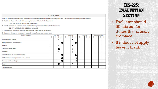#### 9. Evaluation

Enter X under appropriate rating number and under proper heading for each category listed. Definition for each rating number follows:

0 - Deficient. Does not meet minimum requirements of the individual element.

DERCIENCIES MUST BE IDENTIFIED IN REMARKS.

1 - Needs to improve. Meets some or most of the requirements of the individual element.

**IDENTIFY IMPROVEMENT NEEDED IN REMARKS.** 

2 - Satisfactory. Employee meets all requirements of the individual element.

3. - Superior. Employee consistently exceeds the performance requirements.

| <b>Rating Factors</b>                   | Hot Line<br>Mop-Up |  |             | Camp        |    |             | Other specify) |  |    |   |    |    |   |
|-----------------------------------------|--------------------|--|-------------|-------------|----|-------------|----------------|--|----|---|----|----|---|
|                                         | ο                  |  |             | з           | ш. | 2.          | з              |  | 2. | з | ο. | 2. | з |
| Knowledge of the job                    |                    |  | $\mathbf x$ |             |    | $\mathbf x$ |                |  |    |   |    |    |   |
| Ability to obtain performance           |                    |  |             | $\mathbf X$ |    |             | $\mathbf X$    |  |    |   |    |    |   |
| Attitude                                |                    |  | $\mathbf x$ |             |    | $\mathbf x$ |                |  |    |   |    |    |   |
| Decisions under stress                  |                    |  | $\mathbf x$ |             |    | $\mathbf x$ |                |  |    |   |    |    |   |
| <b>Initiative</b>                       |                    |  | $\mathbf x$ |             |    | $\mathbf x$ |                |  |    |   |    |    |   |
| Consideration for personnel welfare     |                    |  |             | $\mathbf x$ |    |             | $\mathbf x$    |  |    |   |    |    |   |
| Obtain necessary equipment and supplies |                    |  |             | $\mathbf x$ |    |             | $\mathbf X$    |  |    |   |    |    |   |
| Physical ability for the job            |                    |  |             | $\mathbf x$ |    |             | $\mathbf x$    |  |    |   |    |    |   |
| Safety                                  |                    |  | $\mathbf X$ |             |    | $\mathbf x$ |                |  |    |   |    |    |   |
| Other (specify)                         |                    |  |             |             |    |             |                |  |    |   |    |    |   |

### **ICS-225: EVALUATION SECTION**

• Evaluator should fill this out for duties that actually too place.

• If it does not apply leave it blank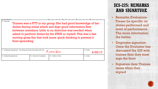| <b>CALIFORNIA CALIFORNIA E</b>                                  |                                                                                                                                                                                                                                                                                                                            |                               |                     |
|-----------------------------------------------------------------|----------------------------------------------------------------------------------------------------------------------------------------------------------------------------------------------------------------------------------------------------------------------------------------------------------------------------|-------------------------------|---------------------|
| 10. Remarks<br>from spreading.                                  | Trainee was a FFTI in my group. She had good knowledge of her<br>duties during initial attack and kept good information flow<br>between members. Little to no direction was needed when<br>asked to perform duties by the STEN or myself. This was a fast<br>moving grass fire that took some quick thinking to prevent it |                               |                     |
| 11. Employee (signature) This rating has been discussed with me |                                                                                                                                                                                                                                                                                                                            | $K$ at lene $\mathcal{F}$ inn | 12. Date<br>4/25/17 |
| 13. Rated By (signature)                                        | 14. Home Unit (address)                                                                                                                                                                                                                                                                                                    | 15 Position of Fire           | 16 Dote             |

### **ICS-225: REMARKS AND SIGNATURE**

- Remarks: Evaluators-Please be specific on duties performed and level of performance. The more information the better.
- Employee signature: Once the Evaluator has discussed the 225 with trainee then they must sign the form
- Signature date: Trainee dates when they signed

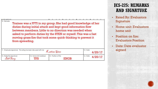| 10. Remarks              | Trainee was a FFTI in my group. She had good knowledge of her<br>duties during initial attack and kept good information flow<br>between members. Little to no direction was needed when<br>asked to perform duties by the STEN or myself. This was a fast<br>moving grass fire that took some quick thinking to prevent it<br>from spreading.<br>12. Date<br>11. Employee (signature) This rating has been discussed with me<br>K atlene Ginn<br>4/25/17 |                              |                     | Signatu                                                                       |
|--------------------------|----------------------------------------------------------------------------------------------------------------------------------------------------------------------------------------------------------------------------------------------------------------------------------------------------------------------------------------------------------------------------------------------------------------------------------------------------------|------------------------------|---------------------|-------------------------------------------------------------------------------|
|                          |                                                                                                                                                                                                                                                                                                                                                                                                                                                          |                              |                     | Home 1<br>$\bullet$<br>home u<br><b>Positio</b><br>$\bullet$<br><b>Evalua</b> |
|                          |                                                                                                                                                                                                                                                                                                                                                                                                                                                          |                              |                     | $\bullet$ Date: $\Gamma$<br>signed                                            |
| 13. Rated By (signature) | 14. Home Unit (address)<br><b>TFS</b>                                                                                                                                                                                                                                                                                                                                                                                                                    | 15. Position of Fire<br>ENGB | 16. Date<br>4/25/17 |                                                                               |

### **ICS-225: REMARKS AND SIGNATURE**

- Rated By: Evaluators Signature
- Home unit: Evaluators home unit
- Position on fire: Evaluators Position
- Date: Date evaluator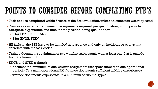# POINTS TO CONSIDER BEFORE COMPLETING PTB'S

- Task book is completed within 5 years of the first evaluation, unless an extension was requested
- Trainee documents the minimum assignments required per qualification, which provide **adequate experience** and time for the position being qualified for.
	- 2 for FFTI, ENOP, FAL3
	- 3 for ENGB, STEN
- All tasks in the PTB have to be initialed at least once and only on incidents or events that correlate with the task codes
- Trainee documents a minimum of two wildfire assignments with at least one that is outside his/hers home unit
- ENGB and STEN trainee's
	- documents a minimum of one wildfire assignment that spans more than one operational period. (Or a multi operational RX if trainee documents sufficient wildfire experience)
	- Trainee documents experience in a minimum of two fuel types